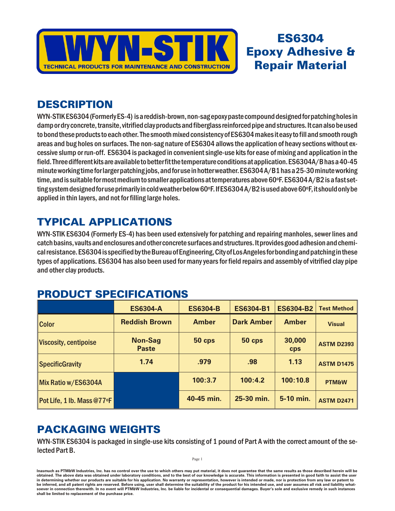

#### **DESCRIPTION**

WYN-STIK ES6304 (Formerly ES-4) is a reddish-brown, non-sag epoxy paste compound designed for patching holes in damp or dry concrete, transite, vitrified clay products and fiberglass reinforced pipe and structures. It can also be used to bond these products to each other. The smooth mixed consistency of ES6304 makes it easy to fill and smooth rough areas and bug holes on surfaces. The non-sag nature of ES6304 allows the application of heavy sections without excessive slump or run-off. ES6304 is packaged in convenient single-use kits for ease of mixing and application in the field. Three different kits are available to better fit the temperature conditions at application. ES6304A/B has a 40-45 minute working time for larger patching jobs, and for use in hotter weather. ES6304 A/B1 has a 25-30 minute working time, and is suitable for most medium to smaller applications at temperatures above 60°F. ES6304 A/B2 is a fast setting system designed for use primarily in cold weather below 60°F. If ES6304 A/B2 is used above 60°F, it should only be applied in thin layers, and not for filling large holes.

ES6304

**Repair Material** 

### **TYPICAL APPLICATIONS**

WYN-STIK ES6304 (Formerly ES-4) has been used extensively for patching and repairing manholes, sewer lines and catch basins, vaults and enclosures and other concrete surfaces and structures. It provides good adhesion and chemical resistance. ES6304 is specified by the Bureau of Engineering, City of Los Angeles for bonding and patching in these types of applications. ES6304 has also been used for many years for field repairs and assembly of vitrified clay pipe and other clay products.

|                              | <b>ES6304-A</b>                | <b>ES6304-B</b> | <b>ES6304-B1</b>  | <b>ES6304-B2</b>     | <b>Test Method</b> |  |  |  |
|------------------------------|--------------------------------|-----------------|-------------------|----------------------|--------------------|--|--|--|
| <b>Color</b>                 | <b>Reddish Brown</b>           | <b>Amber</b>    | <b>Dark Amber</b> | <b>Amber</b>         | <b>Visual</b>      |  |  |  |
| <b>Viscosity, centipoise</b> | <b>Non-Sag</b><br><b>Paste</b> | <b>50 cps</b>   | 50 cps            | 30,000<br><b>CDS</b> | <b>ASTM D2393</b>  |  |  |  |
| SpecificGravity              | 1.74                           | .979            | .98               | 1.13                 | <b>ASTM D1475</b>  |  |  |  |
| Mix Ratio w/ES6304A          |                                | 100:3.7         | 100:4.2           | 100:10.8             | <b>PTM&amp;W</b>   |  |  |  |
| Pot Life, 1 lb. Mass @77°F   |                                | 40-45 min.      | 25-30 min.        | 5-10 min.            | <b>ASTM D2471</b>  |  |  |  |

# PRODUCT SPECIFICATIONS

#### PACKAGING WEIGHTS

WYN-STIK ES6304 is packaged in single-use kits consisting of 1 pound of Part A with the correct amount of the selected Part B.

Inasmuch as PTM&W Industries, Inc. has no control over the use to which others may put material, it does not guarantee that the same results as those described herein will be obtained. The above data was obtained under laboratory conditions, and to the best of our knowledge is accurate. This information is presented in good faith to assist the user in determining whether our products are suitable for his application. No warranty or representation, however is intended or made, nor is protection from any law be inferred, and all patent rights are reserved. Before using, user shall determine the suitability of the product for his intended use, and user assumes all risk and liability whatsoever in connection therewith. In no event will PTM&W Industries, Inc. be liable for incidental or consequential damages. Buyer's sole and exclusive remedy in such instances shall be limited to replacement of the purchase price.